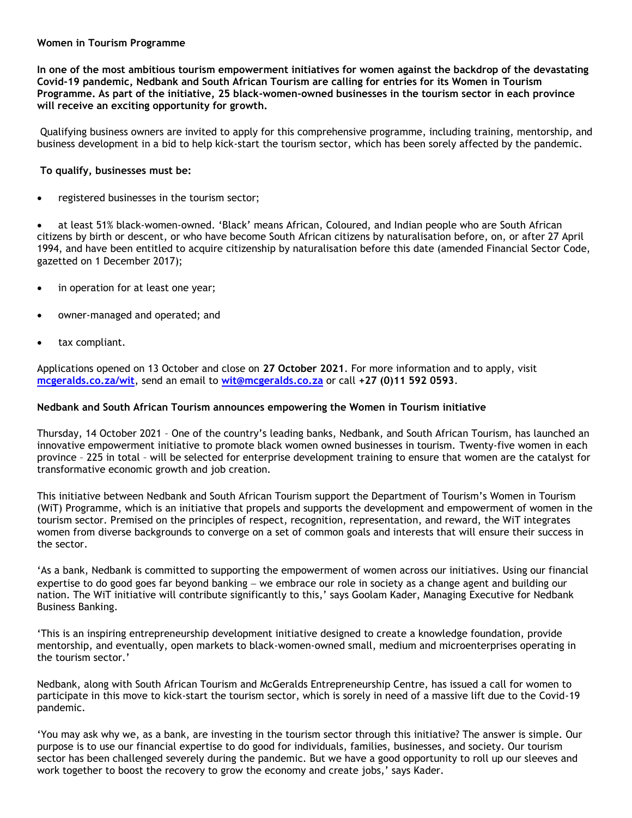## **Women in Tourism Programme**

**In one of the most ambitious tourism empowerment initiatives for women against the backdrop of the devastating Covid-19 pandemic, Nedbank and South African Tourism are calling for entries for its Women in Tourism Programme. As part of the initiative, 25 black-women-owned businesses in the tourism sector in each province will receive an exciting opportunity for growth.**

Qualifying business owners are invited to apply for this comprehensive programme, including training, mentorship, and business development in a bid to help kick-start the tourism sector, which has been sorely affected by the pandemic.

## **To qualify, businesses must be:**

registered businesses in the tourism sector;

• at least 51% black-women-owned. 'Black' means African, Coloured, and Indian people who are South African citizens by birth or descent, or who have become South African citizens by naturalisation before, on, or after 27 April 1994, and have been entitled to acquire citizenship by naturalisation before this date (amended Financial Sector Code, gazetted on 1 December 2017);

- in operation for at least one year;
- owner-managed and operated; and
- tax compliant.

Applications opened on 13 October and close on **27 October 2021**. For more information and to apply, visit **[mcgeralds.co.za/wit](http://mcgeralds.co.za/wit)**, send an email to **[wit@mcgeralds.co.za](mailto:wit@mcgeralds.co.za)** or call **+27 (0)11 592 0593**.

## **Nedbank and South African Tourism announces empowering the Women in Tourism initiative**

Thursday, 14 October 2021 – One of the country's leading banks, Nedbank, and South African Tourism, has launched an innovative empowerment initiative to promote black women owned businesses in tourism. Twenty-five women in each province – 225 in total – will be selected for enterprise development training to ensure that women are the catalyst for transformative economic growth and job creation.

This initiative between Nedbank and South African Tourism support the Department of Tourism's Women in Tourism (WiT) Programme, which is an initiative that propels and supports the development and empowerment of women in the tourism sector. Premised on the principles of respect, recognition, representation, and reward, the WiT integrates women from diverse backgrounds to converge on a set of common goals and interests that will ensure their success in the sector.

'As a bank, Nedbank is committed to supporting the empowerment of women across our initiatives. Using our financial expertise to do good goes far beyond banking − we embrace our role in society as a change agent and building our nation. The WiT initiative will contribute significantly to this,' says Goolam Kader, Managing Executive for Nedbank Business Banking.

'This is an inspiring entrepreneurship development initiative designed to create a knowledge foundation, provide mentorship, and eventually, open markets to black-women-owned small, medium and microenterprises operating in the tourism sector.'

Nedbank, along with South African Tourism and McGeralds Entrepreneurship Centre, has issued a call for women to participate in this move to kick-start the tourism sector, which is sorely in need of a massive lift due to the Covid-19 pandemic.

'You may ask why we, as a bank, are investing in the tourism sector through this initiative? The answer is simple. Our purpose is to use our financial expertise to do good for individuals, families, businesses, and society. Our tourism sector has been challenged severely during the pandemic. But we have a good opportunity to roll up our sleeves and work together to boost the recovery to grow the economy and create jobs,' says Kader.